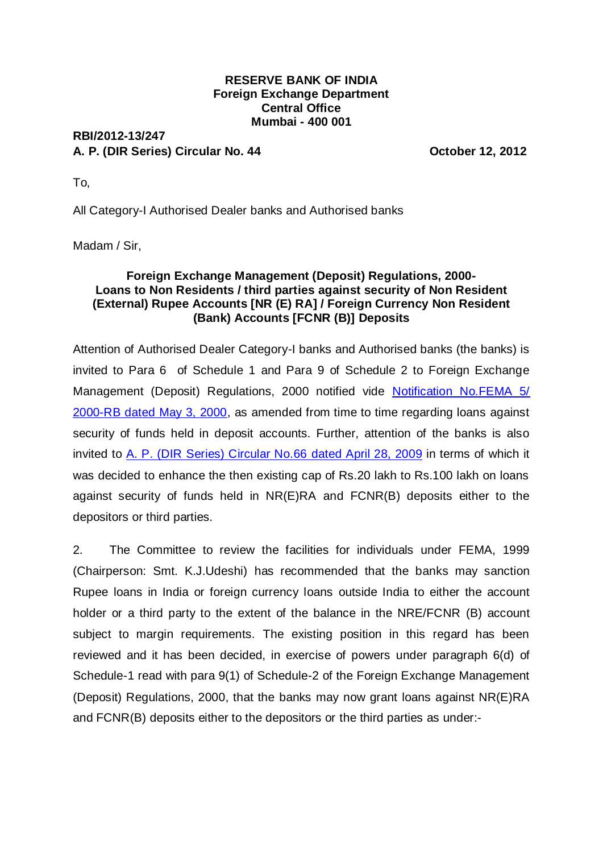## **RESERVE BANK OF INDIA Foreign Exchange Department Central Office Mumbai - 400 001**

## **RBI/2012-13/247 A. P. (DIR Series) Circular No. 44 October 12, 2012**

To,

All Category-I Authorised Dealer banks and Authorised banks

Madam / Sir,

## **Foreign Exchange Management (Deposit) Regulations, 2000- Loans to Non Residents / third parties against security of Non Resident (External) Rupee Accounts [NR (E) RA] / Foreign Currency Non Resident (Bank) Accounts [FCNR (B)] Deposits**

Attention of Authorised Dealer Category-I banks and Authorised banks (the banks) is invited to Para 6 of Schedule 1 and Para 9 of Schedule 2 to Foreign Exchange Management (Deposit) Regulations, 2000 notified vide **Notification No.FEMA 5/** [2000-RB dated May 3, 2000,](http://rbi.org.in/scripts/NotificationUser.aspx?Id=159&Mode=0) as amended from time to time regarding loans against security of funds held in deposit accounts. Further, attention of the banks is also invited to [A. P. \(DIR Series\) Circular No.66 dated](http://rbi.org.in/Scripts/NotificationUser.aspx?Id=4960&Mode=0) April 28, 2009 in terms of which it was decided to enhance the then existing cap of Rs.20 lakh to Rs.100 lakh on loans against security of funds held in NR(E)RA and FCNR(B) deposits either to the depositors or third parties.

2. The Committee to review the facilities for individuals under FEMA, 1999 (Chairperson: Smt. K.J.Udeshi) has recommended that the banks may sanction Rupee loans in India or foreign currency loans outside India to either the account holder or a third party to the extent of the balance in the NRE/FCNR (B) account subject to margin requirements. The existing position in this regard has been reviewed and it has been decided, in exercise of powers under paragraph 6(d) of Schedule-1 read with para 9(1) of Schedule-2 of the Foreign Exchange Management (Deposit) Regulations, 2000, that the banks may now grant loans against NR(E)RA and FCNR(B) deposits either to the depositors or the third parties as under:-